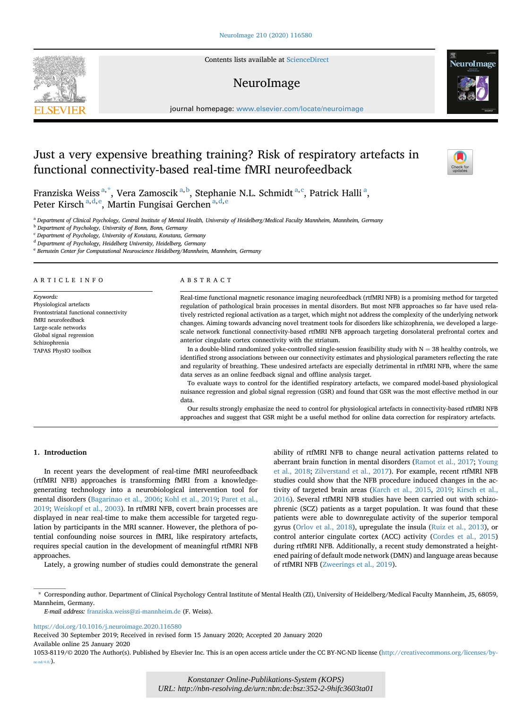Contents lists available at [ScienceDirect](www.sciencedirect.com/science/journal/10538119)

## NeuroImage

journal homepage: [www.elsevier.com/locate/neuroimage](http://www.elsevier.com/locate/neuroimage)

# Just a very expensive breathing training? Risk of respiratory artefacts in functional connectivity-based real-time fMRI neurofeedback

Fr[a](#page-0-0)nziska Weiss $^{\mathrm{a},\mathrm{*}}$  $^{\mathrm{a},\mathrm{*}}$  $^{\mathrm{a},\mathrm{*}}$ , Vera Zamos[c](#page-0-3)ik $^{\mathrm{a},\mathrm{b}}$  $^{\mathrm{a},\mathrm{b}}$  $^{\mathrm{a},\mathrm{b}}$ , Stephanie N.L. Schmidt $^{\mathrm{a},\mathrm{c}}$ , Patrick Halli $^{\mathrm{a}},$ P[e](#page-0-5)ter Kirsch $^{\mathrm{a},\mathrm{d},\mathrm{e}}$  $^{\mathrm{a},\mathrm{d},\mathrm{e}}$  $^{\mathrm{a},\mathrm{d},\mathrm{e}}$ , Martin Fungisai Gerchen $^{\mathrm{a},\mathrm{d},\mathrm{e}}$ 

<span id="page-0-0"></span>a Department of Clinical Psychology, Central Institute of Mental Health, University of Heidelberg/Medical Faculty Mannheim, Mannheim, Germany

<span id="page-0-2"></span><sup>b</sup> Department of Psychology, University of Bonn, Bonn, Germany

<span id="page-0-3"></span><sup>c</sup> Department of Psychology, University of Konstanz, Konstanz, Germany

<span id="page-0-4"></span><sup>d</sup> Department of Psychology, Heidelberg University, Heidelberg, Germany

<span id="page-0-5"></span><sup>e</sup> Bernstein Center for Computational Neuroscience Heidelberg/Mannheim, Mannheim, Germany

#### ARTICLE INFO

Keywords: Physiological artefacts Frontostriatal functional connectivity fMRI neurofeedback Large-scale networks Global signal regression Schizophrenia TAPAS PhysIO toolbox

#### ABSTRACT

Real-time functional magnetic resonance imaging neurofeedback (rtfMRI NFB) is a promising method for targeted regulation of pathological brain processes in mental disorders. But most NFB approaches so far have used relatively restricted regional activation as a target, which might not address the complexity of the underlying network changes. Aiming towards advancing novel treatment tools for disorders like schizophrenia, we developed a largescale network functional connectivity-based rtfMRI NFB approach targeting dorsolateral prefrontal cortex and anterior cingulate cortex connectivity with the striatum.

In a double-blind randomized yoke-controlled single-session feasibility study with  $N = 38$  healthy controls, we identified strong associations between our connectivity estimates and physiological parameters reflecting the rate and regularity of breathing. These undesired artefacts are especially detrimental in rtfMRI NFB, where the same data serves as an online feedback signal and offline analysis target.

To evaluate ways to control for the identified respiratory artefacts, we compared model-based physiological nuisance regression and global signal regression (GSR) and found that GSR was the most effective method in our data.

Our results strongly emphasize the need to control for physiological artefacts in connectivity-based rtfMRI NFB approaches and suggest that GSR might be a useful method for online data correction for respiratory artefacts.

#### 1. Introduction

In recent years the development of real-time fMRI neurofeedback (rtfMRI NFB) approaches is transforming fMRI from a knowledgegenerating technology into a neurobiological intervention tool for mental disorders ([Bagarinao et al., 2006;](#page-7-0) [Kohl et al., 2019](#page-8-0); [Paret et al.,](#page-8-1) [2019;](#page-8-1) [Weiskopf et al., 2003](#page-8-2)). In rtfMRI NFB, covert brain processes are displayed in near real-time to make them accessible for targeted regulation by participants in the MRI scanner. However, the plethora of potential confounding noise sources in fMRI, like respiratory artefacts, requires special caution in the development of meaningful rtfMRI NFB approaches.

Lately, a growing number of studies could demonstrate the general

ability of rtfMRI NFB to change neural activation patterns related to aberrant brain function in mental disorders ([Ramot et al., 2017;](#page-8-3) [Young](#page-8-4) [et al., 2018;](#page-8-4) [Zilverstand et al., 2017\)](#page-8-5). For example, recent rtfMRI NFB studies could show that the NFB procedure induced changes in the activity of targeted brain areas [\(Karch et al., 2015,](#page-7-1) [2019](#page-7-2); [Kirsch et al.,](#page-8-6) [2016\)](#page-8-6). Several rtfMRI NFB studies have been carried out with schizophrenic (SCZ) patients as a target population. It was found that these patients were able to downregulate activity of the superior temporal gyrus [\(Orlov et al., 2018\)](#page-8-7), upregulate the insula [\(Ruiz et al., 2013](#page-8-8)), or control anterior cingulate cortex (ACC) activity ([Cordes et al., 2015\)](#page-7-3) during rtfMRI NFB. Additionally, a recent study demonstrated a heightened pairing of default mode network (DMN) and language areas because of rtfMRI NFB [\(Zweerings et al., 2019](#page-8-9)).

<span id="page-0-1"></span>\* Corresponding author. Department of Clinical Psychology Central Institute of Mental Health (ZI), University of Heidelberg/Medical Faculty Mannheim, J5, 68059, Mannheim, Germany.

<https://doi.org/10.1016/j.neuroimage.2020.116580>

Received 30 September 2019; Received in revised form 15 January 2020; Accepted 20 January 2020 Available online 25 January 2020





E-mail address: [franziska.weiss@zi-mannheim.de](mailto:franziska.weiss@zi-mannheim.de) (F. Weiss).

<sup>1053-8119/</sup>© 2020 The Author(s). Published by Elsevier Inc. This is an open access article under the CC BY-NC-ND license [\(http://creativecommons.org/licenses/by](http://creativecommons.org/licenses/by-nc-nd/4.0/) $nc-nd/4.0/$ ).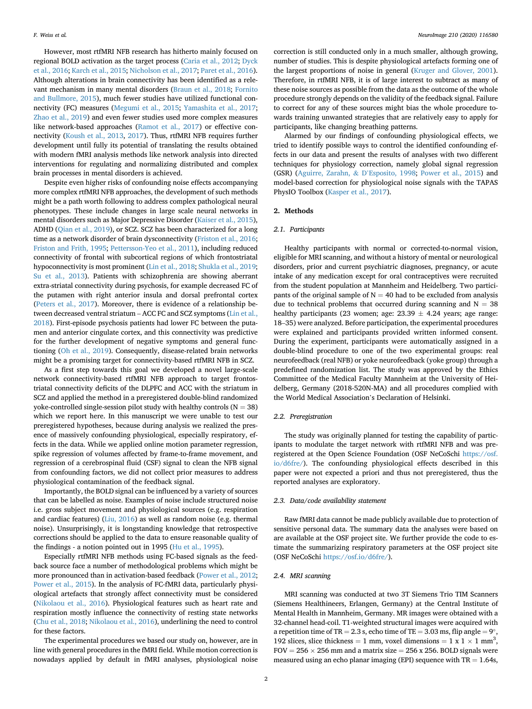However, most rtfMRI NFB research has hitherto mainly focused on regional BOLD activation as the target process ([Caria et al., 2012;](#page-7-4) [Dyck](#page-7-5) [et al., 2016](#page-7-5); [Karch et al., 2015](#page-7-1); [Nicholson et al., 2017;](#page-8-10) [Paret et al., 2016\)](#page-8-11). Although alterations in brain connectivity has been identified as a relevant mechanism in many mental disorders [\(Braun et al., 2018](#page-7-6); [Fornito](#page-7-7) [and Bullmore, 2015\)](#page-7-7), much fewer studies have utilized functional connectivity (FC) measures ([Megumi et al., 2015;](#page-8-12) [Yamashita et al., 2017;](#page-8-13) [Zhao et al., 2019](#page-8-14)) and even fewer studies used more complex measures like network-based approaches ([Ramot et al., 2017](#page-8-3)) or effective connectivity ([Koush et al., 2013](#page-8-15), [2017\)](#page-8-16). Thus, rtfMRI NFB requires further development until fully its potential of translating the results obtained with modern fMRI analysis methods like network analysis into directed interventions for regulating and normalizing distributed and complex brain processes in mental disorders is achieved.

Despite even higher risks of confounding noise effects accompanying more complex rtfMRI NFB approaches, the development of such methods might be a path worth following to address complex pathological neural phenotypes. These include changes in large scale neural networks in mental disorders such as Major Depressive Disorder [\(Kaiser et al., 2015\)](#page-7-8), ADHD ([Qian et al., 2019\)](#page-8-17), or SCZ. SCZ has been characterized for a long time as a network disorder of brain dysconnectivity [\(Friston et al., 2016;](#page-7-9) [Friston and Frith, 1995](#page-7-10); [Pettersson-Yeo et al., 2011\)](#page-8-18), including reduced connectivity of frontal with subcortical regions of which frontostriatal hypoconnectivity is most prominent ([Lin et al., 2018](#page-8-19); [Shukla et al., 2019;](#page-8-20) [Su et al., 2013\)](#page-8-21). Patients with schizophrenia are showing aberrant extra-striatal connectivity during psychosis, for example decreased FC of the putamen with right anterior insula and dorsal prefrontal cortex ([Peters et al., 2017\)](#page-8-22). Moreover, there is evidence of a relationship between decreased ventral striatum – ACC FC and SCZ symptoms [\(Lin et al.,](#page-8-19) [2018\)](#page-8-19). First-episode psychosis patients had lower FC between the putamen and anterior cingulate cortex, and this connectivity was predictive for the further development of negative symptoms and general functioning [\(Oh et al., 2019\)](#page-8-23). Consequently, disease-related brain networks might be a promising target for connectivity-based rtfMRI NFB in SCZ.

As a first step towards this goal we developed a novel large-scale network connectivity-based rtfMRI NFB approach to target frontostriatal connectivity deficits of the DLPFC and ACC with the striatum in SCZ and applied the method in a preregistered double-blind randomized yoke-controlled single-session pilot study with healthy controls ( $N = 38$ ) which we report here. In this manuscript we were unable to test our preregistered hypotheses, because during analysis we realized the presence of massively confounding physiological, especially respiratory, effects in the data. While we applied online motion parameter regression, spike regression of volumes affected by frame-to-frame movement, and regression of a cerebrospinal fluid (CSF) signal to clean the NFB signal from confounding factors, we did not collect prior measures to address physiological contamination of the feedback signal.

Importantly, the BOLD signal can be influenced by a variety of sources that can be labelled as noise. Examples of noise include structured noise i.e. gross subject movement and physiological sources (e.g. respiration and cardiac features) [\(Liu, 2016\)](#page-8-24) as well as random noise (e.g. thermal noise). Unsurprisingly, it is longstanding knowledge that retrospective corrections should be applied to the data to ensure reasonable quality of the findings - a notion pointed out in 1995 [\(Hu et al., 1995\)](#page-7-11).

Especially rtfMRI NFB methods using FC-based signals as the feedback source face a number of methodological problems which might be more pronounced than in activation-based feedback [\(Power et al., 2012;](#page-8-25) [Power et al., 2015\)](#page-8-26). In the analysis of FC-fMRI data, particularly physiological artefacts that strongly affect connectivity must be considered ([Nikolaou et al., 2016\)](#page-8-27). Physiological features such as heart rate and respiration mostly influence the connectivity of resting state networks ([Chu et al., 2018;](#page-7-12) [Nikolaou et al., 2016](#page-8-27)), underlining the need to control for these factors.

The experimental procedures we based our study on, however, are in line with general procedures in the fMRI field. While motion correction is nowadays applied by default in fMRI analyses, physiological noise

correction is still conducted only in a much smaller, although growing, number of studies. This is despite physiological artefacts forming one of the largest proportions of noise in general ([Kruger and Glover, 2001\)](#page-8-28). Therefore, in rtfMRI NFB, it is of large interest to subtract as many of these noise sources as possible from the data as the outcome of the whole procedure strongly depends on the validity of the feedback signal. Failure to correct for any of these sources might bias the whole procedure towards training unwanted strategies that are relatively easy to apply for participants, like changing breathing patterns.

Alarmed by our findings of confounding physiological effects, we tried to identify possible ways to control the identified confounding effects in our data and present the results of analyses with two different techniques for physiology correction, namely global signal regression (GSR) ([Aguirre, Zarahn,](#page-7-13) & <sup>D</sup>'[Esposito, 1998;](#page-7-13) [Power et al., 2015](#page-8-26)) and model-based correction for physiological noise signals with the TAPAS PhysIO Toolbox [\(Kasper et al., 2017](#page-7-14)).

#### 2. Methods

## 2.1. Participants

Healthy participants with normal or corrected-to-normal vision, eligible for MRI scanning, and without a history of mental or neurological disorders, prior and current psychiatric diagnoses, pregnancy, or acute intake of any medication except for oral contraceptives were recruited from the student population at Mannheim and Heidelberg. Two participants of the original sample of  $N = 40$  had to be excluded from analysis due to technical problems that occurred during scanning and  $N = 38$ healthy participants (23 women; age:  $23.39 \pm 4.24$  years; age range: <sup>18</sup>–35) were analyzed. Before participation, the experimental procedures were explained and participants provided written informed consent. During the experiment, participants were automatically assigned in a double-blind procedure to one of the two experimental groups: real neurofeedback (real NFB) or yoke neurofeedback (yoke group) through a predefined randomization list. The study was approved by the Ethics Committee of the Medical Faculty Mannheim at the University of Heidelberg, Germany (2018-520N-MA) and all procedures complied with the World Medical Association's Declaration of Helsinki.

#### 2.2. Preregistration

The study was originally planned for testing the capability of participants to modulate the target network with rtfMRI NFB and was preregistered at the Open Science Foundation (OSF NeCoSchi [https://osf.](https://osf.io/d6fre/) [io/d6fre/\)](https://osf.io/d6fre/). The confounding physiological effects described in this paper were not expected a priori and thus not preregistered, thus the reported analyses are exploratory.

## 2.3. Data/code availability statement

Raw fMRI data cannot be made publicly available due to protection of sensitive personal data. The summary data the analyses were based on are available at the OSF project site. We further provide the code to estimate the summarizing respiratory parameters at the OSF project site (OSF NeCoSchi [https://osf.io/d6fre/\)](https://osf.io/d6fre/).

#### 2.4. MRI scanning

MRI scanning was conducted at two 3T Siemens Trio TIM Scanners (Siemens Healthineers, Erlangen, Germany) at the Central Institute of Mental Health in Mannheim, Germany. MR images were obtained with a 32-channel head-coil. T1-weighted structural images were acquired with a repetition time of TR = 2.3 s, echo time of TE = 3.03 ms, flip angle =  $9^{\circ}$ , 192 slices, slice thickness = 1 mm, voxel dimensions = 1 x 1  $\times$  1 mm<sup>3</sup>,  $FOV = 256 \times 256$  mm and a matrix size = 256 x 256. BOLD signals were measured using an echo planar imaging (EPI) sequence with  $TR = 1.64s$ ,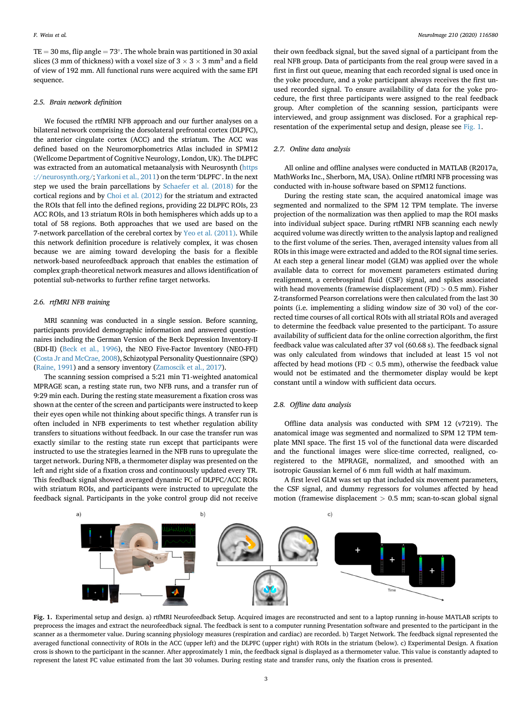$TE = 30$  ms, flip angle  $= 73^{\circ}$ . The whole brain was partitioned in 30 axial slices (3 mm of thickness) with a voxel size of  $3 \times 3 \times 3$  mm<sup>3</sup> and a field of view of 192 mm. All functional runs were acquired with the same EPI sequence.

### 2.5. Brain network definition

We focused the rtfMRI NFB approach and our further analyses on a bilateral network comprising the dorsolateral prefrontal cortex (DLPFC), the anterior cingulate cortex (ACC) and the striatum. The ACC was defined based on the Neuromorphometrics Atlas included in SPM12 (Wellcome Department of Cognitive Neurology, London, UK). The DLPFC was extracted from an automatical metaanalysis with Neurosynth [\(https](https://neurosynth.org/) [://neurosynth.org/](https://neurosynth.org/); [Yarkoni et al., 2011](#page-8-29)) on the term 'DLPFC'. In the next step we used the brain parcellations by [Schaefer et al. \(2018\)](#page-8-30) for the cortical regions and by [Choi et al. \(2012\)](#page-7-15) for the striatum and extracted the ROIs that fell into the defined regions, providing 22 DLPFC ROIs, 23 ACC ROIs, and 13 striatum ROIs in both hemispheres which adds up to a total of 58 regions. Both approaches that we used are based on the 7-network parcellation of the cerebral cortex by [Yeo et al. \(2011\).](#page-8-31) While this network definition procedure is relatively complex, it was chosen because we are aiming toward developing the basis for a flexible network-based neurofeedback approach that enables the estimation of complex graph-theoretical network measures and allows identification of potential sub-networks to further refine target networks.

## 2.6. rtfMRI NFB training

MRI scanning was conducted in a single session. Before scanning, participants provided demographic information and answered questionnaires including the German Version of the Beck Depression Inventory-II (BDI-II) [\(Beck et al., 1996\)](#page-7-16), the NEO Five-Factor Inventory (NEO-FFI) ([Costa Jr and McCrae, 2008](#page-7-17)), Schizotypal Personality Questionnaire (SPQ) ([Raine, 1991](#page-8-32)) and a sensory inventory ([Zamoscik et al., 2017](#page-8-33)).

The scanning session comprised a 5:21 min T1-weighted anatomical MPRAGE scan, a resting state run, two NFB runs, and a transfer run of 9:29 min each. During the resting state measurement a fixation cross was shown at the center of the screen and participants were instructed to keep their eyes open while not thinking about specific things. A transfer run is often included in NFB experiments to test whether regulation ability transfers to situations without feedback. In our case the transfer run was exactly similar to the resting state run except that participants were instructed to use the strategies learned in the NFB runs to upregulate the target network. During NFB, a thermometer display was presented on the left and right side of a fixation cross and continuously updated every TR. This feedback signal showed averaged dynamic FC of DLPFC/ACC ROIs with striatum ROIs, and participants were instructed to upregulate the feedback signal. Participants in the yoke control group did not receive

their own feedback signal, but the saved signal of a participant from the real NFB group. Data of participants from the real group were saved in a first in first out queue, meaning that each recorded signal is used once in the yoke procedure, and a yoke participant always receives the first unused recorded signal. To ensure availability of data for the yoke procedure, the first three participants were assigned to the real feedback group. After completion of the scanning session, participants were interviewed, and group assignment was disclosed. For a graphical representation of the experimental setup and design, please see [Fig. 1](#page-2-0).

#### 2.7. Online data analysis

All online and offline analyses were conducted in MATLAB (R2017a, MathWorks Inc., Sherborn, MA, USA). Online rtfMRI NFB processing was conducted with in-house software based on SPM12 functions.

During the resting state scan, the acquired anatomical image was segmented and normalized to the SPM 12 TPM template. The inverse projection of the normalization was then applied to map the ROI masks into individual subject space. During rtfMRI NFB scanning each newly acquired volume was directly written to the analysis laptop and realigned to the first volume of the series. Then, averaged intensity values from all ROIs in this image were extracted and added to the ROI signal time series. At each step a general linear model (GLM) was applied over the whole available data to correct for movement parameters estimated during realignment, a cerebrospinal fluid (CSF) signal, and spikes associated with head movements (framewise displacement (FD) > 0.5 mm). Fisher Z-transformed Pearson correlations were then calculated from the last 30 points (i.e. implementing a sliding window size of 30 vol) of the corrected time courses of all cortical ROIs with all striatal ROIs and averaged to determine the feedback value presented to the participant. To assure availability of sufficient data for the online correction algorithm, the first feedback value was calculated after 37 vol (60.68 s). The feedback signal was only calculated from windows that included at least 15 vol not affected by head motions (FD  $<$  0.5 mm), otherwise the feedback value would not be estimated and the thermometer display would be kept constant until a window with sufficient data occurs.

## 2.8. Offline data analysis

Offline data analysis was conducted with SPM 12 (v7219). The anatomical image was segmented and normalized to SPM 12 TPM template MNI space. The first 15 vol of the functional data were discarded and the functional images were slice-time corrected, realigned, coregistered to the MPRAGE, normalized, and smoothed with an isotropic Gaussian kernel of 6 mm full width at half maximum.

A first level GLM was set up that included six movement parameters, the CSF signal, and dummy regressors for volumes affected by head motion (framewise displacement > 0.5 mm; scan-to-scan global signal

<span id="page-2-0"></span>

Fig. 1. Experimental setup and design. a) rtfMRI Neurofeedback Setup. Acquired images are reconstructed and sent to a laptop running in-house MATLAB scripts to preprocess the images and extract the neurofeedback signal. The feedback is sent to a computer running Presentation software and presented to the participant in the scanner as a thermometer value. During scanning physiology measures (respiration and cardiac) are recorded. b) Target Network. The feedback signal represented the averaged functional connectivity of ROIs in the ACC (upper left) and the DLPFC (upper right) with ROIs in the striatum (below). c) Experimental Design. A fixation cross is shown to the participant in the scanner. After approximately 1 min, the feedback signal is displayed as a thermometer value. This value is constantly adapted to represent the latest FC value estimated from the last 30 volumes. During resting state and transfer runs, only the fixation cross is presented.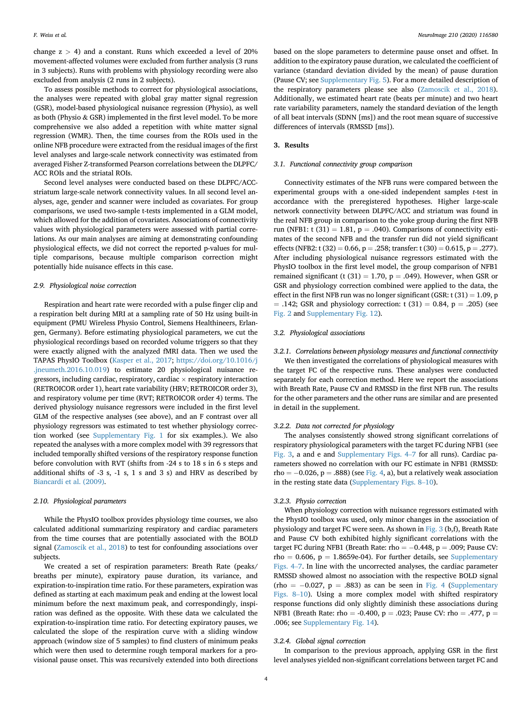change  $z > 4$ ) and a constant. Runs which exceeded a level of 20% movement-affected volumes were excluded from further analysis (3 runs in 3 subjects). Runs with problems with physiology recording were also excluded from analysis (2 runs in 2 subjects).

To assess possible methods to correct for physiological associations, the analyses were repeated with global gray matter signal regression (GSR), model-based physiological nuisance regression (Physio), as well as both (Physio & GSR) implemented in the first level model. To be more comprehensive we also added a repetition with white matter signal regression (WMR). Then, the time courses from the ROIs used in the online NFB procedure were extracted from the residual images of the first level analyses and large-scale network connectivity was estimated from averaged Fisher Z-transformed Pearson correlations between the DLPFC/ ACC ROIs and the striatal ROIs.

Second level analyses were conducted based on these DLPFC/ACCstriatum large-scale network connectivity values. In all second level analyses, age, gender and scanner were included as covariates. For group comparisons, we used two-sample t-tests implemented in a GLM model, which allowed for the addition of covariates. Associations of connectivity values with physiological parameters were assessed with partial correlations. As our main analyses are aiming at demonstrating confounding physiological effects, we did not correct the reported p-values for multiple comparisons, because multiple comparison correction might potentially hide nuisance effects in this case.

## 2.9. Physiological noise correction

Respiration and heart rate were recorded with a pulse finger clip and a respiration belt during MRI at a sampling rate of 50 Hz using built-in equipment (PMU Wireless Physio Control, Siemens Healthineers, Erlangen, Germany). Before estimating physiological parameters, we cut the physiological recordings based on recorded volume triggers so that they were exactly aligned with the analyzed fMRI data. Then we used the TAPAS PhysIO Toolbox ([Kasper et al., 2017;](#page-7-14) [https://doi.org/10.1016/j](https://doi.org/10.1016/j.jneumeth.2016.10.019) [.jneumeth.2016.10.019](https://doi.org/10.1016/j.jneumeth.2016.10.019)) to estimate 20 physiological nuisance regressors, including cardiac, respiratory, cardiac  $\times$  respiratory interaction (RETROICOR order 1), heart rate variability (HRV; RETROICOR order 3), and respiratory volume per time (RVT; RETROICOR order 4) terms. The derived physiology nuisance regressors were included in the first level GLM of the respective analyses (see above), and an F contrast over all physiology regressors was estimated to test whether physiology correction worked (see Supplementary Fig. 1 for six examples.). We also repeated the analyses with a more complex model with 39 regressors that included temporally shifted versions of the respiratory response function before convolution with RVT (shifts from -24 s to 18 s in 6 s steps and additional shifts of -3 s, -1 s, 1 s and 3 s) and HRV as described by [Biancardi et al. \(2009\).](#page-7-18)

## 2.10. Physiological parameters

While the PhysIO toolbox provides physiology time courses, we also calculated additional summarizing respiratory and cardiac parameters from the time courses that are potentially associated with the BOLD signal ([Zamoscik et al., 2018\)](#page-8-34) to test for confounding associations over subjects.

We created a set of respiration parameters: Breath Rate (peaks/ breaths per minute), expiratory pause duration, its variance, and expiration-to-inspiration time ratio. For these parameters, expiration was defined as starting at each maximum peak and ending at the lowest local minimum before the next maximum peak, and correspondingly, inspiration was defined as the opposite. With these data we calculated the expiration-to-inspiration time ratio. For detecting expiratory pauses, we calculated the slope of the respiration curve with a sliding window approach (window size of 5 samples) to find clusters of minimum peaks which were then used to determine rough temporal markers for a provisional pause onset. This was recursively extended into both directions

based on the slope parameters to determine pause onset and offset. In addition to the expiratory pause duration, we calculated the coefficient of variance (standard deviation divided by the mean) of pause duration (Pause CV; see Supplementary Fig. 5). For a more detailed description of the respiratory parameters please see also ([Zamoscik et al., 2018\)](#page-8-34). Additionally, we estimated heart rate (beats per minute) and two heart rate variability parameters, namely the standard deviation of the length of all beat intervals (SDNN [ms]) and the root mean square of successive differences of intervals (RMSSD [ms]).

#### 3. Results

#### 3.1. Functional connectivity group comparison

Connectivity estimates of the NFB runs were compared between the experimental groups with a one-sided independent samples t-test in accordance with the preregistered hypotheses. Higher large-scale network connectivity between DLPFC/ACC and striatum was found in the real NFB group in comparison to the yoke group during the first NFB run (NFB1: t  $(31) = 1.81$ , p = .040). Comparisons of connectivity estimates of the second NFB and the transfer run did not yield significant effects (NFB2: t (32) = 0.66, p = .258; transfer: t (30) = 0.615, p = .277). After including physiological nuisance regressors estimated with the PhysIO toolbox in the first level model, the group comparison of NFB1 remained significant (t (31) = 1.70,  $p = .049$ ). However, when GSR or GSR and physiology correction combined were applied to the data, the effect in the first NFB run was no longer significant (GSR:  $t$  (31) = 1.09, p  $=$  .142; GSR and physiology correction: t (31)  $=$  0.84, p  $=$  .205) (see [Fig. 2](#page-4-0) and Supplementary Fig. 12).

## 3.2. Physiological associations

3.2.1. Correlations between physiology measures and functional connectivity We then investigated the correlations of physiological measures with the target FC of the respective runs. These analyses were conducted separately for each correction method. Here we report the associations with Breath Rate, Pause CV and RMSSD in the first NFB run. The results for the other parameters and the other runs are similar and are presented in detail in the supplement.

#### 3.2.2. Data not corrected for physiology

The analyses consistently showed strong significant correlations of respiratory physiological parameters with the target FC during NFB1 (see [Fig. 3](#page-4-1), a and e and Supplementary Figs. 4–<sup>7</sup> for all runs). Cardiac parameters showed no correlation with our FC estimate in NFB1 (RMSSD:  $rho = -0.026$ ,  $p = .888$ ) (see [Fig. 4](#page-5-0), a), but a relatively weak association in the resting state data (Supplementary Figs. 8–10).

#### 3.2.3. Physio correction

When physiology correction with nuisance regressors estimated with the PhysIO toolbox was used, only minor changes in the association of physiology and target FC were seen. As shown in [Fig. 3](#page-4-1) (b,f), Breath Rate and Pause CV both exhibited highly significant correlations with the target FC during NFB1 (Breath Rate: rho  $= -0.448$ , p  $= .009$ ; Pause CV: rho = 0.606, p = 1.8659e-04). For further details, see Supplementary Figs. 4–7. In line with the uncorrected analyses, the cardiac parameter RMSSD showed almost no association with the respective BOLD signal (rho =  $-0.027$ , p = .883) as can be seen in [Fig. 4](#page-5-0) (Supplementary Figs. 8–10). Using a more complex model with shifted respiratory response functions did only slightly diminish these associations during NFB1 (Breath Rate: rho = -0.400, p = .023; Pause CV: rho = .477, p = .006; see Supplementary Fig. 14).

#### 3.2.4. Global signal correction

In comparison to the previous approach, applying GSR in the first level analyses yielded non-significant correlations between target FC and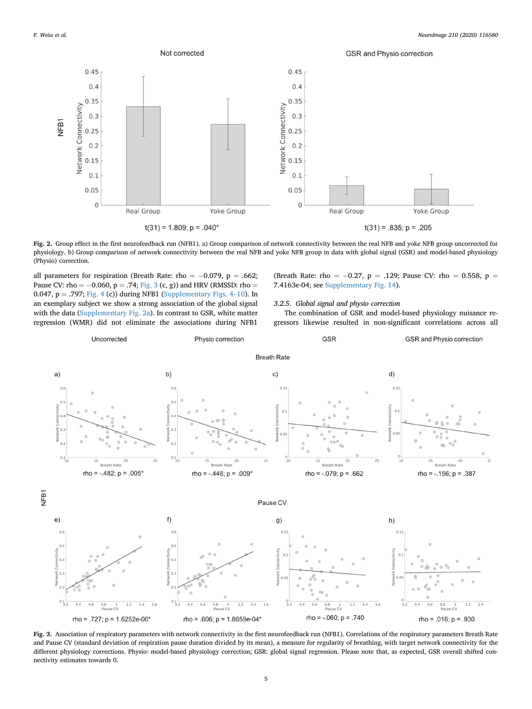<span id="page-4-0"></span>

Fig. 2. Group effect in the first neurofeedback run (NFB1). a) Group comparison of network connectivity between the real NFB and yoke NFB group uncorrected for physiology. b) Group comparison of network connectivity between the real NFB and yoke NFB group in data with global signal (GSR) and model-based physiology (Physio) correction.

all parameters for respiration (Breath Rate: rho =  $-0.079$ , p = .662; Pause CV: rho =  $-0.060$ , p = .74; [Fig. 3](#page-4-1) (c, g)) and HRV (RMSSD: rho = 0.047,  $p = .797$ ; [Fig. 4](#page-5-0) (c)) during NFB1 (Supplementary Figs. 4–10). In an exemplary subject we show a strong association of the global signal with the data (Supplementary Fig. 2a). In contrast to GSR, white matter regression (WMR) did not eliminate the associations during NFB1

(Breath Rate: rho =  $-0.27$ , p = .129; Pause CV: rho = 0.558, p = 7.4163e-04; see Supplementary Fig. 14).

#### 3.2.5. Global signal and physio correction

The combination of GSR and model-based physiology nuisance regressors likewise resulted in non-significant correlations across all

<span id="page-4-1"></span>

Fig. 3. Association of respiratory parameters with network connectivity in the first neurofeedback run (NFB1). Correlations of the respiratory parameters Breath Rate and Pause CV (standard deviation of respiration pause duration divided by its mean), a measure for regularity of breathing, with target network connectivity for the different physiology corrections. Physio: model-based physiology correction; GSR: global signal regression. Please note that, as expected, GSR overall shifted connectivity estimates towards 0.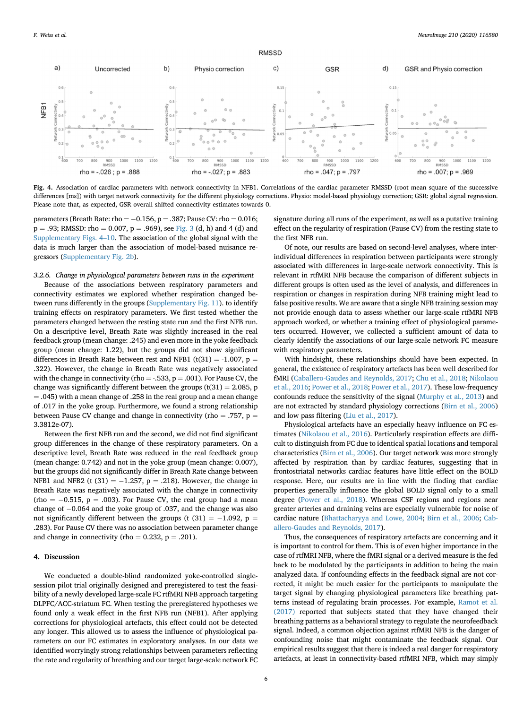<span id="page-5-0"></span>

Fig. 4. Association of cardiac parameters with network connectivity in NFB1. Correlations of the cardiac parameter RMSSD (root mean square of the successive differences [ms]) with target network connectivity for the different physiology corrections. Physio: model-based physiology correction; GSR: global signal regression. Please note that, as expected, GSR overall shifted connectivity estimates towards 0.

parameters (Breath Rate: rho  $= -0.156$ , p  $= .387$ ; Pause CV: rho  $= 0.016$ ;  $p = .93$ ; RMSSD: rho = 0.007,  $p = .969$ ), see [Fig. 3](#page-4-1) (d, h) and 4 (d) and Supplementary Figs. 4–10. The association of the global signal with the data is much larger than the association of model-based nuisance regressors (Supplementary Fig. 2b).

#### 3.2.6. Change in physiological parameters between runs in the experiment

Because of the associations between respiratory parameters and connectivity estimates we explored whether respiration changed between runs differently in the groups (Supplementary Fig. 11). to identify training effects on respiratory parameters. We first tested whether the parameters changed between the resting state run and the first NFB run. On a descriptive level, Breath Rate was slightly increased in the real feedback group (mean change: .245) and even more in the yoke feedback group (mean change: 1.22), but the groups did not show significant differences in Breath Rate between rest and NFB1 (t(31) = -1.007, p = .322). However, the change in Breath Rate was negatively associated with the change in connectivity (rho = -.533,  $p = .001$ ). For Pause CV, the change was significantly different between the groups  $(t(31) = 2.085, p$  $=$  .045) with a mean change of .258 in the real group and a mean change of .017 in the yoke group. Furthermore, we found a strong relationship between Pause CV change and change in connectivity (rho = .757,  $p =$ 3.3812e-07).

Between the first NFB run and the second, we did not find significant group differences in the change of these respiratory parameters. On a descriptive level, Breath Rate was reduced in the real feedback group (mean change: 0.742) and not in the yoke group (mean change: 0.007), but the groups did not significantly differ in Breath Rate change between NFB1 and NFB2 (t (31) =  $-1.257$ , p = .218). However, the change in Breath Rate was negatively associated with the change in connectivity (rho  $= -0.515$ ,  $p = .003$ ). For Pause CV, the real group had a mean change of  $-0.064$  and the yoke group of .037, and the change was also not significantly different between the groups (t (31) =  $-1.092$ , p = .283). For Pause CV there was no association between parameter change and change in connectivity (rho =  $0.232$ , p = .201).

#### 4. Discussion

We conducted a double-blind randomized yoke-controlled singlesession pilot trial originally designed and preregistered to test the feasibility of a newly developed large-scale FC rtfMRI NFB approach targeting DLPFC/ACC-striatum FC. When testing the preregistered hypotheses we found only a weak effect in the first NFB run (NFB1). After applying corrections for physiological artefacts, this effect could not be detected any longer. This allowed us to assess the influence of physiological parameters on our FC estimates in exploratory analyses. In our data we identified worryingly strong relationships between parameters reflecting the rate and regularity of breathing and our target large-scale network FC signature during all runs of the experiment, as well as a putative training effect on the regularity of respiration (Pause CV) from the resting state to the first NFB run.

Of note, our results are based on second-level analyses, where interindividual differences in respiration between participants were strongly associated with differences in large-scale network connectivity. This is relevant in rtfMRI NFB because the comparison of different subjects in different groups is often used as the level of analysis, and differences in respiration or changes in respiration during NFB training might lead to false positive results. We are aware that a single NFB training session may not provide enough data to assess whether our large-scale rtfMRI NFB approach worked, or whether a training effect of physiological parameters occurred. However, we collected a sufficient amount of data to clearly identify the associations of our large-scale network FC measure with respiratory parameters.

With hindsight, these relationships should have been expected. In general, the existence of respiratory artefacts has been well described for fMRI [\(Caballero-Gaudes and Reynolds, 2017;](#page-7-19) [Chu et al., 2018;](#page-7-12) [Nikolaou](#page-8-27) [et al., 2016](#page-8-27); [Power et al., 2018](#page-8-35); [Power et al., 2017\)](#page-8-36). These low-frequency confounds reduce the sensitivity of the signal ([Murphy et al., 2013](#page-8-37)) and are not extracted by standard physiology corrections [\(Birn et al., 2006\)](#page-7-20) and low pass filtering [\(Liu et al., 2017\)](#page-8-38).

Physiological artefacts have an especially heavy influence on FC estimates [\(Nikolaou et al., 2016\)](#page-8-27). Particularly respiration effects are difficult to distinguish from FC due to identical spatial locations and temporal characteristics ([Birn et al., 2006\)](#page-7-20). Our target network was more strongly affected by respiration than by cardiac features, suggesting that in frontostriatal networks cardiac features have little effect on the BOLD response. Here, our results are in line with the finding that cardiac properties generally influence the global BOLD signal only to a small degree ([Power et al., 2018](#page-8-35)). Whereas CSF regions and regions near greater arteries and draining veins are especially vulnerable for noise of cardiac nature [\(Bhattacharyya and Lowe, 2004](#page-7-21); [Birn et al., 2006;](#page-7-20) [Cab](#page-7-19)[allero-Gaudes and Reynolds, 2017](#page-7-19)).

Thus, the consequences of respiratory artefacts are concerning and it is important to control for them. This is of even higher importance in the case of rtfMRI NFB, where the fMRI signal or a derived measure is the fed back to be modulated by the participants in addition to being the main analyzed data. If confounding effects in the feedback signal are not corrected, it might be much easier for the participants to manipulate the target signal by changing physiological parameters like breathing patterns instead of regulating brain processes. For example, [Ramot et al.](#page-8-3) [\(2017\)](#page-8-3) reported that subjects stated that they have changed their breathing patterns as a behavioral strategy to regulate the neurofeedback signal. Indeed, a common objection against rtfMRI NFB is the danger of confounding noise that might contaminate the feedback signal. Our empirical results suggest that there is indeed a real danger for respiratory artefacts, at least in connectivity-based rtfMRI NFB, which may simply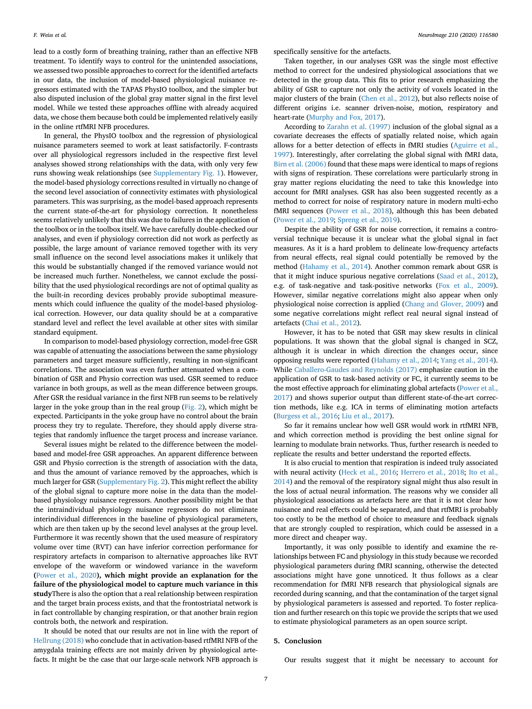lead to a costly form of breathing training, rather than an effective NFB treatment. To identify ways to control for the unintended associations, we assessed two possible approaches to correct for the identified artefacts in our data, the inclusion of model-based physiological nuisance regressors estimated with the TAPAS PhysIO toolbox, and the simpler but also disputed inclusion of the global gray matter signal in the first level model. While we tested these approaches offline with already acquired data, we chose them because both could be implemented relatively easily in the online rtfMRI NFB procedures.

In general, the PhysIO toolbox and the regression of physiological nuisance parameters seemed to work at least satisfactorily. F-contrasts over all physiological regressors included in the respective first level analyses showed strong relationships with the data, with only very few runs showing weak relationships (see Supplementary Fig. 1). However, the model-based physiology corrections resulted in virtually no change of the second level association of connectivity estimates with physiological parameters. This was surprising, as the model-based approach represents the current state-of-the-art for physiology correction. It nonetheless seems relatively unlikely that this was due to failures in the application of the toolbox or in the toolbox itself. We have carefully double-checked our analyses, and even if physiology correction did not work as perfectly as possible, the large amount of variance removed together with its very small influence on the second level associations makes it unlikely that this would be substantially changed if the removed variance would not be increased much further. Nonetheless, we cannot exclude the possibility that the used physiological recordings are not of optimal quality as the built-in recording devices probably provide suboptimal measurements which could influence the quality of the model-based physiological correction. However, our data quality should be at a comparative standard level and reflect the level available at other sites with similar standard equipment.

In comparison to model-based physiology correction, model-free GSR was capable of attenuating the associations between the same physiology parameters and target measure sufficiently, resulting in non-significant correlations. The association was even further attenuated when a combination of GSR and Physio correction was used. GSR seemed to reduce variance in both groups, as well as the mean difference between groups. After GSR the residual variance in the first NFB run seems to be relatively larger in the yoke group than in the real group ([Fig. 2](#page-4-0)), which might be expected. Participants in the yoke group have no control about the brain process they try to regulate. Therefore, they should apply diverse strategies that randomly influence the target process and increase variance.

Several issues might be related to the difference between the modelbased and model-free GSR approaches. An apparent difference between GSR and Physio correction is the strength of association with the data, and thus the amount of variance removed by the approaches, which is much larger for GSR (Supplementary Fig. 2). This might reflect the ability of the global signal to capture more noise in the data than the modelbased physiology nuisance regressors. Another possibility might be that the intraindividual physiology nuisance regressors do not eliminate interindividual differences in the baseline of physiological parameters, which are then taken up by the second level analyses at the group level. Furthermore it was recently shown that the used measure of respiratory volume over time (RVT) can have inferior correction performance for respiratory artefacts in comparison to alternative approaches like RVT envelope of the waveform or windowed variance in the waveform ([Power et al., 2020](#page-8-39)), which might provide an explanation for the failure of the physiological model to capture much variance in this studyThere is also the option that a real relationship between respiration and the target brain process exists, and that the frontostriatal network is in fact controllable by changing respiration, or that another brain region controls both, the network and respiration.

It should be noted that our results are not in line with the report of [Hellrung \(2018\)](#page-7-22) who conclude that in activation-based rtfMRI NFB of the amygdala training effects are not mainly driven by physiological artefacts. It might be the case that our large-scale network NFB approach is specifically sensitive for the artefacts.

Taken together, in our analyses GSR was the single most effective method to correct for the undesired physiological associations that we detected in the group data. This fits to prior research emphasizing the ability of GSR to capture not only the activity of voxels located in the major clusters of the brain ([Chen et al., 2012\)](#page-7-23), but also reflects noise of different origins i.e. scanner driven-noise, motion, respiratory and heart-rate [\(Murphy and Fox, 2017](#page-8-40)).

According to [Zarahn et al. \(1997\)](#page-8-41) inclusion of the global signal as a covariate decreases the effects of spatially related noise, which again allows for a better detection of effects in fMRI studies ([Aguirre et al.,](#page-7-24) [1997\)](#page-7-24). Interestingly, after correlating the global signal with fMRI data, [Birn et al. \(2006\)](#page-7-20) found that these maps were identical to maps of regions with signs of respiration. These correlations were particularly strong in gray matter regions elucidating the need to take this knowledge into account for fMRI analyses. GSR has also been suggested recently as a method to correct for noise of respiratory nature in modern multi-echo fMRI sequences [\(Power et al., 2018\)](#page-8-35), although this has been debated ([Power et al., 2019;](#page-8-42) [Spreng et al., 2019\)](#page-8-43).

Despite the ability of GSR for noise correction, it remains a controversial technique because it is unclear what the global signal in fact measures. As it is a hard problem to delineate low-frequency artefacts from neural effects, real signal could potentially be removed by the method [\(Hahamy et al., 2014\)](#page-7-25). Another common remark about GSR is that it might induce spurious negative correlations [\(Saad et al., 2012\)](#page-8-44), e.g. of task-negative and task-positive networks [\(Fox et al., 2009\)](#page-7-26). However, similar negative correlations might also appear when only physiological noise correction is applied [\(Chang and Glover, 2009](#page-7-27)) and some negative correlations might reflect real neural signal instead of artefacts ([Chai et al., 2012\)](#page-7-28).

However, it has to be noted that GSR may skew results in clinical populations. It was shown that the global signal is changed in SCZ, although it is unclear in which direction the changes occur, since opposing results were reported ([Hahamy et al., 2014](#page-7-25); [Yang et al., 2014\)](#page-8-45). While [Caballero-Gaudes and Reynolds \(2017\)](#page-7-19) emphasize caution in the application of GSR to task-based activity or FC, it currently seems to be the most effective approach for eliminating global artefacts ([Power et al.,](#page-8-36) [2017\)](#page-8-36) and shows superior output than different state-of-the-art correction methods, like e.g. ICA in terms of eliminating motion artefacts ([Burgess et al., 2016](#page-7-29); [Liu et al., 2017](#page-8-38)).

So far it remains unclear how well GSR would work in rtfMRI NFB, and which correction method is providing the best online signal for learning to modulate brain networks. Thus, further research is needed to replicate the results and better understand the reported effects.

It is also crucial to mention that respiration is indeed truly associated with neural activity [\(Heck et al., 2016;](#page-7-30) [Herrero et al., 2018;](#page-7-31) [Ito et al.,](#page-7-32) [2014\)](#page-7-32) and the removal of the respiratory signal might thus also result in the loss of actual neural information. The reasons why we consider all physiological associations as artefacts here are that it is not clear how nuisance and real effects could be separated, and that rtfMRI is probably too costly to be the method of choice to measure and feedback signals that are strongly coupled to respiration, which could be assessed in a more direct and cheaper way.

Importantly, it was only possible to identify and examine the relationships between FC and physiology in this study because we recorded physiological parameters during fMRI scanning, otherwise the detected associations might have gone unnoticed. It thus follows as a clear recommendation for fMRI NFB research that physiological signals are recorded during scanning, and that the contamination of the target signal by physiological parameters is assessed and reported. To foster replication and further research on this topic we provide the scripts that we used to estimate physiological parameters as an open source script.

## 5. Conclusion

Our results suggest that it might be necessary to account for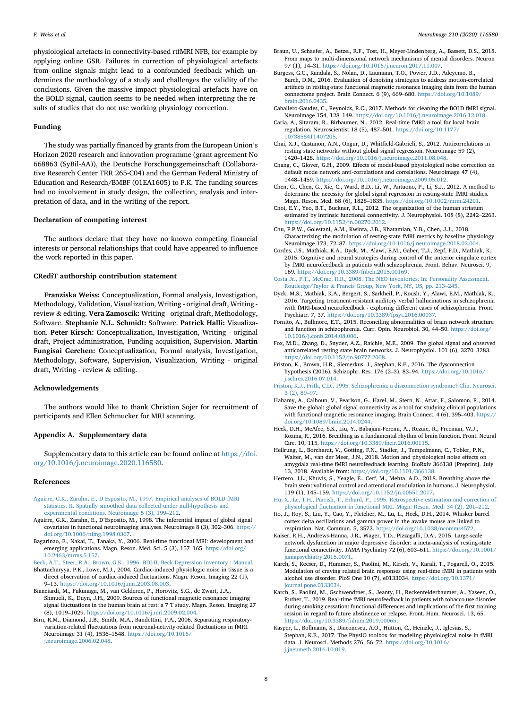F. Weiss et al. NeuroImage 210 (2020) 116580

physiological artefacts in connectivity-based rtfMRI NFB, for example by applying online GSR. Failures in correction of physiological artefacts from online signals might lead to a confounded feedback which undermines the methodology of a study and challenges the validity of the conclusions. Given the massive impact physiological artefacts have on the BOLD signal, caution seems to be needed when interpreting the results of studies that do not use working physiology correction.

#### Funding

The study was partially financed by grants from the European Union'<sup>s</sup> Horizon 2020 research and innovation programme (grant agreement No 668863 (SyBil-AA)), the Deutsche Forschungsgemeinschaft (Collaborative Research Center TRR 265-C04) and the German Federal Ministry of Education and Research/BMBF (01EA1605) to P.K. The funding sources had no involvement in study design, the collection, analysis and interpretation of data, and in the writing of the report.

## Declaration of competing interest

The authors declare that they have no known competing financial interests or personal relationships that could have appeared to influence the work reported in this paper.

## CRediT authorship contribution statement

Franziska Weiss: Conceptualization, Formal analysis, Investigation, Methodology, Validation, Visualization, Writing - original draft, Writing review & editing. Vera Zamoscik: Writing - original draft, Methodology, Software. Stephanie N.L. Schmidt: Software. Patrick Halli: Visualization. Peter Kirsch: Conceptualization, Investigation, Writing - original draft, Project administration, Funding acquisition, Supervision. Martin Fungisai Gerchen: Conceptualization, Formal analysis, Investigation, Methodology, Software, Supervision, Visualization, Writing - original draft, Writing - review & editing.

#### Acknowledgements

The authors would like to thank Christian Sojer for recruitment of participants and Ellen Schmucker for MRI scanning.

#### Appendix A. Supplementary data

Supplementary data to this article can be found online at [https://doi.](https://doi.org/10.1016/j.neuroimage.2020.116580) [org/10.1016/j.neuroimage.2020.116580.](https://doi.org/10.1016/j.neuroimage.2020.116580)

#### References

- <span id="page-7-24"></span>Aguirre, G.K., Zarahn, E., D'[Esposito, M., 1997. Empirical analyses of BOLD fMRI](http://refhub.elsevier.com/S1053-8119(20)30067-7/sref1) [statistics. II. Spatially smoothed data collected under null-hypothesis and](http://refhub.elsevier.com/S1053-8119(20)30067-7/sref1) [experimental conditions. Neuroimage 5 \(3\), 199](http://refhub.elsevier.com/S1053-8119(20)30067-7/sref1)–[212](http://refhub.elsevier.com/S1053-8119(20)30067-7/sref1).
- <span id="page-7-13"></span>Aguirre, G.K., Zarahn, E., D'Esposito, M., 1998. The inferential impact of global signal covariates in functional neuroimaging analyses. Neuroimage 8 (3), 302–306. [https://](https://doi.org/10.1006/nimg.1998.0367) [doi.org/10.1006/nimg.1998.0367](https://doi.org/10.1006/nimg.1998.0367).
- <span id="page-7-0"></span>Bagarinao, E., Nakai, T., Tanaka, Y., 2006. Real-time functional MRI: development and emerging applications. Magn. Reson. Med. Sci. 5 (3), 157-165. [https://doi.org/](https://doi.org/10.2463/mrms.5.157) [10.2463/mrms.5.157.](https://doi.org/10.2463/mrms.5.157)

<span id="page-7-21"></span><span id="page-7-16"></span>[Beck, A.T., Steer, R.A., Brown, G.K., 1996. BDI-II, Beck Depression Inventory : Manual](http://refhub.elsevier.com/S1053-8119(20)30067-7/sref4). Bhattacharyya, P.K., Lowe, M.J., 2004. Cardiac-induced physiologic noise in tissue is a

direct observation of cardiac-induced fluctuations. Magn. Reson. Imaging 22 (1), <sup>9</sup>–13. [https://doi.org/10.1016/j.mri.2003.08.003.](https://doi.org/10.1016/j.mri.2003.08.003) Bianciardi, M., Fukunaga, M., van Gelderen, P., Horovitz, S.G., de Zwart, J.A.,

<span id="page-7-18"></span>Shmueli, K., Duyn, J.H., 2009. Sources of functional magnetic resonance imaging signal fluctuations in the human brain at rest: a 7 T study. Magn. Reson. Imaging 27 (8), 1019–1029. [https://doi.org/10.1016/j.mri.2009.02.004.](https://doi.org/10.1016/j.mri.2009.02.004)

<span id="page-7-20"></span>Birn, R.M., Diamond, J.B., Smith, M.A., Bandettini, P.A., 2006. Separating respiratoryvariation-related fluctuations from neuronal-activity-related fluctuations in fMRI. Neuroimage 31 (4), 1536–1548. [https://doi.org/10.1016/](https://doi.org/10.1016/j.neuroimage.2006.02.048) [j.neuroimage.2006.02.048.](https://doi.org/10.1016/j.neuroimage.2006.02.048)

- <span id="page-7-6"></span>Braun, U., Schaefer, A., Betzel, R.F., Tost, H., Meyer-Lindenberg, A., Bassett, D.S., 2018. From maps to multi-dimensional network mechanisms of mental disorders. Neuron 97 (1), 14–31. [https://doi.org/10.1016/j.neuron.2017.11.007.](https://doi.org/10.1016/j.neuron.2017.11.007)
- <span id="page-7-29"></span>Burgess, G.C., Kandala, S., Nolan, D., Laumann, T.O., Power, J.D., Adeyemo, B., Barch, D.M., 2016. Evaluation of denoising strategies to address motion-correlated artifacts in resting-state functional magnetic resonance imaging data from the human connectome project. Brain Connect. 6 (9), 669–680. [https://doi.org/10.1089/](https://doi.org/10.1089/brain.2016.0435) [brain.2016.0435](https://doi.org/10.1089/brain.2016.0435).
- <span id="page-7-19"></span>Caballero-Gaudes, C., Reynolds, R.C., 2017. Methods for cleaning the BOLD fMRI signal. Neuroimage 154, 128–149. [https://doi.org/10.1016/j.neuroimage.2016.12.018.](https://doi.org/10.1016/j.neuroimage.2016.12.018)
- <span id="page-7-4"></span>Caria, A., Sitaram, R., Birbaumer, N., 2012. Real-time fMRI: a tool for local brain regulation. Neuroscientist 18 (5), 487–501. [https://doi.org/10.1177/](https://doi.org/10.1177/1073858411407205) [1073858411407205.](https://doi.org/10.1177/1073858411407205)
- <span id="page-7-28"></span>Chai, X.J., Castanon, A.N., Ongur, D., Whitfield-Gabrieli, S., 2012. Anticorrelations in resting state networks without global signal regression. Neuroimage 59 (2), <sup>1420</sup>–1428. [https://doi.org/10.1016/j.neuroimage.2011.08.048.](https://doi.org/10.1016/j.neuroimage.2011.08.048)
- <span id="page-7-27"></span>Chang, C., Glover, G.H., 2009. Effects of model-based physiological noise correction on default mode network anti-correlations and correlations. Neuroimage 47 (4), <sup>1448</sup>–1459. [https://doi.org/10.1016/j.neuroimage.2009.05.012.](https://doi.org/10.1016/j.neuroimage.2009.05.012)
- <span id="page-7-23"></span>Chen, G., Chen, G., Xie, C., Ward, B.D., Li, W., Antuono, P., Li, S.J., 2012. A method to determine the necessity for global signal regression in resting-state fMRI studies. Magn. Reson. Med. 68 (6), 1828–1835. <https://doi.org/10.1002/mrm.24201>.
- <span id="page-7-15"></span>Choi, E.Y., Yeo, B.T., Buckner, R.L., 2012. The organization of the human striatum estimated by intrinsic functional connectivity. J. Neurophysiol. 108 (8), 2242–2263. <https://doi.org/10.1152/jn.00270.2012>.
- <span id="page-7-12"></span>Chu, P.P.W., Golestani, A.M., Kwinta, J.B., Khatamian, Y.B., Chen, J.J., 2018. Characterizing the modulation of resting-state fMRI metrics by baseline physiology. Neuroimage 173, 72–87. <https://doi.org/10.1016/j.neuroimage.2018.02.004>.
- <span id="page-7-3"></span>Cordes, J.S., Mathiak, K.A., Dyck, M., Alawi, E.M., Gaber, T.J., Zepf, F.D., Mathiak, K., 2015. Cognitive and neural strategies during control of the anterior cingulate cortex by fMRI neurofeedback in patients with schizophrenia. Front. Behav. Neurosci. 9, 169. <https://doi.org/10.3389/fnbeh.2015.00169>.
- <span id="page-7-17"></span>[Costa Jr., P.T., McCrae, R.R., 2008. The NEO inventories. In: Personality Assessment.](http://refhub.elsevier.com/S1053-8119(20)30067-7/sref18) [Routledge/Taylor](http://refhub.elsevier.com/S1053-8119(20)30067-7/sref18) & [Francis Group, New York, NY, US, pp. 213](http://refhub.elsevier.com/S1053-8119(20)30067-7/sref18)–[245](http://refhub.elsevier.com/S1053-8119(20)30067-7/sref18).
- <span id="page-7-5"></span>Dyck, M.S., Mathiak, K.A., Bergert, S., Sarkheil, P., Koush, Y., Alawi, E.M., Mathiak, K., 2016. Targeting treatment-resistant auditory verbal hallucinations in schizophrenia with fMRI-based neurofeedback - exploring different cases of schizophrenia. Front. Psychiatr. 7, 37. <https://doi.org/10.3389/fpsyt.2016.00037>.
- <span id="page-7-7"></span>Fornito, A., Bullmore, E.T., 2015. Reconciling abnormalities of brain network structure and function in schizophrenia. Curr. Opin. Neurobiol. 30, 44–50. [https://doi.org/](https://doi.org/10.1016/j.conb.2014.08.006) [10.1016/j.conb.2014.08.006.](https://doi.org/10.1016/j.conb.2014.08.006)
- <span id="page-7-26"></span>Fox, M.D., Zhang, D., Snyder, A.Z., Raichle, M.E., 2009. The global signal and observed anticorrelated resting state brain networks. J. Neurophysiol. 101 (6), 3270–3283. <https://doi.org/10.1152/jn.90777.2008>.
- <span id="page-7-9"></span>Friston, K., Brown, H.R., Siemerkus, J., Stephan, K.E., 2016. The dysconnection hypothesis (2016). Schizophr. Res. 176 (2–3), 83–94. [https://doi.org/10.1016/](https://doi.org/10.1016/j.schres.2016.07.014) [j.schres.2016.07.014.](https://doi.org/10.1016/j.schres.2016.07.014)

<span id="page-7-10"></span>[Friston, K.J., Frith, C.D., 1995. Schizophrenia: a disconnection syndrome? Clin. Neurosci.](http://refhub.elsevier.com/S1053-8119(20)30067-7/sref23) [3 \(2\), 89](http://refhub.elsevier.com/S1053-8119(20)30067-7/sref23)–[97](http://refhub.elsevier.com/S1053-8119(20)30067-7/sref23).

- <span id="page-7-25"></span>Hahamy, A., Calhoun, V., Pearlson, G., Harel, M., Stern, N., Attar, F., Salomon, R., 2014. Save the global: global signal connectivity as a tool for studying clinical populations with functional magnetic resonance imaging. Brain Connect. 4 (6), 395–403. [https://](https://doi.org/10.1089/brain.2014.0244) [doi.org/10.1089/brain.2014.0244.](https://doi.org/10.1089/brain.2014.0244)
- <span id="page-7-30"></span>Heck, D.H., McAfee, S.S., Liu, Y., Babajani-Feremi, A., Rezaie, R., Freeman, W.J., Kozma, R., 2016. Breathing as a fundamental rhythm of brain function. Front. Neural Circ. 10, 115. <https://doi.org/10.3389/fncir.2016.00115>.
- <span id="page-7-22"></span>Hellrung, L., Borchardt, V., Götting, F.N., Stadler, J., Tempelmann, C., Tobler, P.N., Walter, M., van der Meer, J.N., 2018. Motion and physiological noise effects on amygdala real-time fMRI neurofeedback learning. BioRxiv 366138 [Preprint]. July 13, 2018. Available from: <https://doi.org/10.1101/366138>.
- <span id="page-7-31"></span>Herrero, J.L., Khuvis, S., Yeagle, E., Cerf, M., Mehta, A.D., 2018. Breathing above the brain stem: volitional control and attentional modulation in humans. J. Neurophysiol. 119 (1), 145–159. [https://doi.org/10.1152/jn.00551.2017.](https://doi.org/10.1152/jn.00551.2017)
- <span id="page-7-11"></span>[Hu, X., Le, T.H., Parrish, T., Erhard, P., 1995. Retrospective estimation and correction of](http://refhub.elsevier.com/S1053-8119(20)30067-7/sref28) physiological fl[uctuation in functional MRI. Magn. Reson. Med. 34 \(2\), 201](http://refhub.elsevier.com/S1053-8119(20)30067-7/sref28)–[212](http://refhub.elsevier.com/S1053-8119(20)30067-7/sref28).
- <span id="page-7-32"></span>Ito, J., Roy, S., Liu, Y., Cao, Y., Fletcher, M., Lu, L., Heck, D.H., 2014. Whisker barrel cortex delta oscillations and gamma power in the awake mouse are linked to respiration. Nat. Commun. 5, 3572. <https://doi.org/10.1038/ncomms4572>.
- <span id="page-7-8"></span>Kaiser, R.H., Andrews-Hanna, J.R., Wager, T.D., Pizzagalli, D.A., 2015. Large-scale network dysfunction in major depressive disorder: a meta-analysis of resting-state functional connectivity. JAMA Psychiatry 72 (6), 603–611. [https://doi.org/10.1001/](https://doi.org/10.1001/jamapsychiatry.2015.0071) amapsychiatry.2015.0071.
- <span id="page-7-1"></span>Karch, S., Keeser, D., Hummer, S., Paolini, M., Kirsch, V., Karali, T., Pogarell, O., 2015. Modulation of craving related brain responses using real-time fMRI in patients with alcohol use disorder. PloS One 10 (7), e0133034. [https://doi.org/10.1371/](https://doi.org/10.1371/journal.pone.0133034) [journal.pone.0133034.](https://doi.org/10.1371/journal.pone.0133034)
- <span id="page-7-2"></span>Karch, S., Paolini, M., Gschwendtner, S., Jeanty, H., Reckenfelderbaumer, A., Yaseen, O., Ruther, T., 2019. Real-time fMRI neurofeedback in patients with tobacco use disorder during smoking cessation: functional differences and implications of the first training session in regard to future abstinence or relapse. Front. Hum. Neurosci. 13, 65. [https://doi.org/10.3389/fnhum.2019.00065.](https://doi.org/10.3389/fnhum.2019.00065)
- <span id="page-7-14"></span>Kasper, L., Bollmann, S., Diaconescu, A.O., Hutton, C., Heinzle, J., Iglesias, S., Stephan, K.E., 2017. The PhysIO toolbox for modeling physiological noise in fMRI data. J. Neurosci. Methods 276, 56–72. [https://doi.org/10.1016/](https://doi.org/10.1016/j.jneumeth.2016.10.019) [j.jneumeth.2016.10.019](https://doi.org/10.1016/j.jneumeth.2016.10.019).